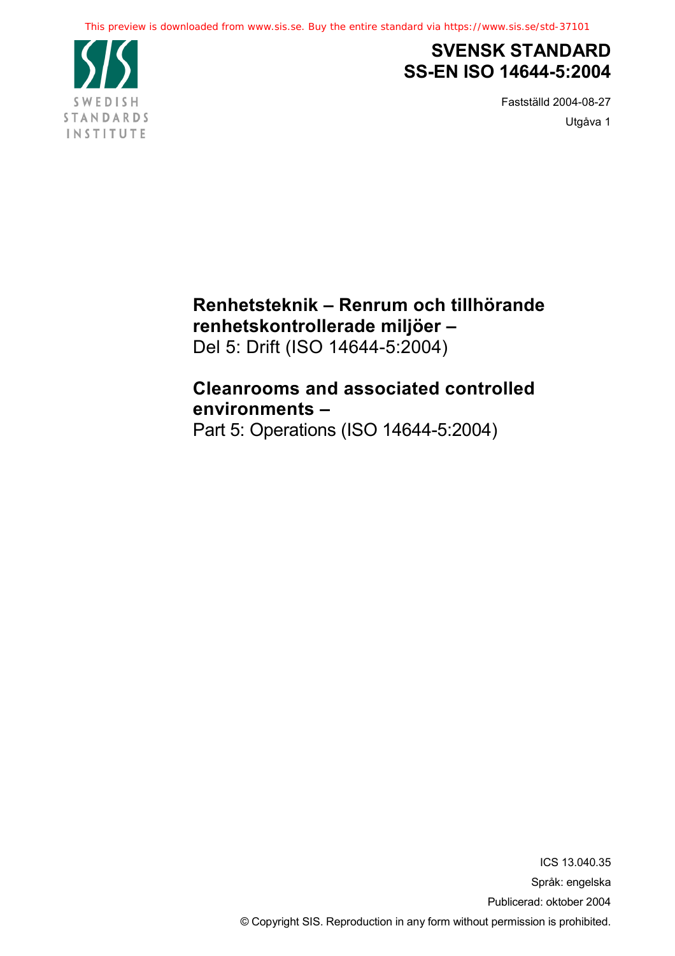

# **SVENSK STANDARD SS-EN ISO 14644-5:2004**

Fastställd 2004-08-27 Utgåva 1

# **Renhetsteknik – Renrum och tillhörande renhetskontrollerade miljöer –**

Del 5: Drift (ISO 14644-5:2004)

# **Cleanrooms and associated controlled environments –**

Part 5: Operations (ISO 14644-5:2004)

ICS 13.040.35 Språk: engelska Publicerad: oktober 2004 © Copyright SIS. Reproduction in any form without permission is prohibited.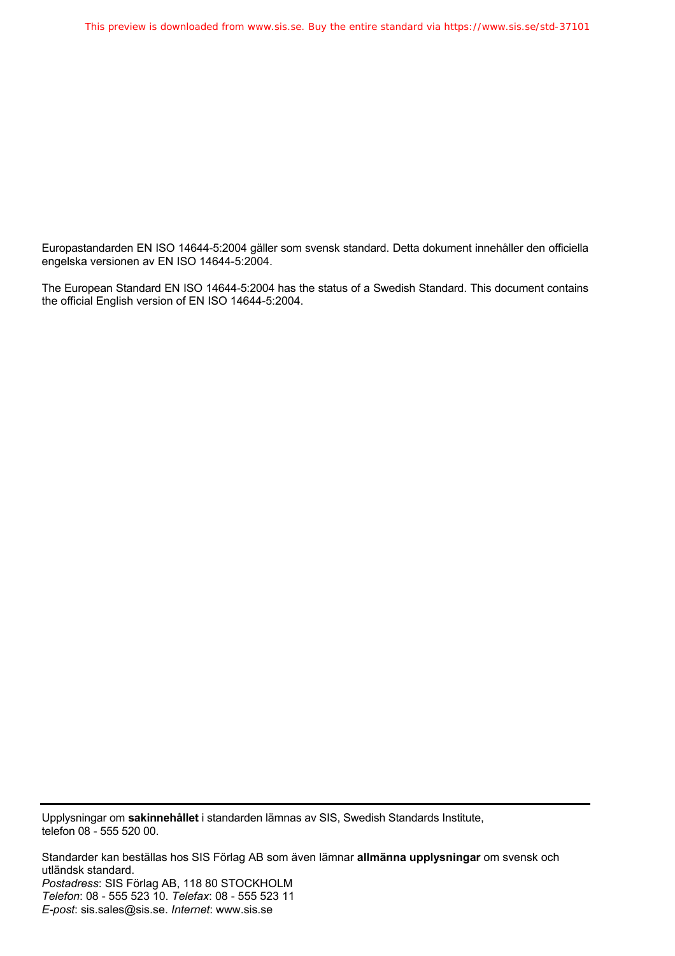Europastandarden EN ISO 14644-5:2004 gäller som svensk standard. Detta dokument innehåller den officiella engelska versionen av EN ISO 14644-5:2004.

The European Standard EN ISO 14644-5:2004 has the status of a Swedish Standard. This document contains the official English version of EN ISO 14644-5:2004.

Upplysningar om **sakinnehållet** i standarden lämnas av SIS, Swedish Standards Institute, telefon 08 - 555 520 00.

Standarder kan beställas hos SIS Förlag AB som även lämnar **allmänna upplysningar** om svensk och utländsk standard. *Postadress*: SIS Förlag AB, 118 80 STOCKHOLM *Telefon*: 08 - 555 523 10. *Telefax*: 08 - 555 523 11 *E-post*: sis.sales@sis.se. *Internet*: www.sis.se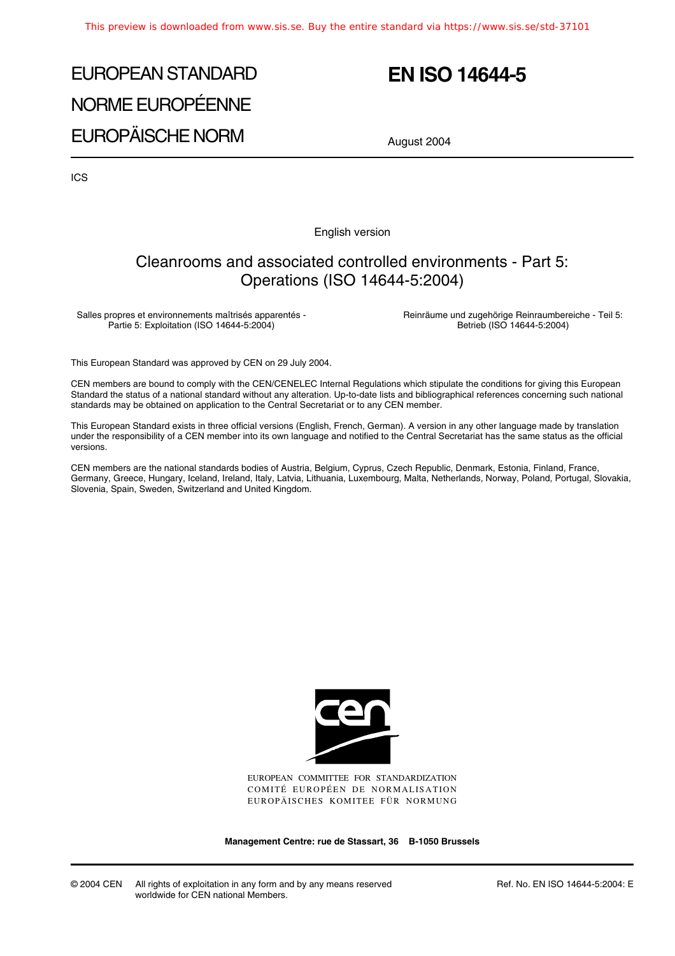# EUROPEAN STANDARD NORME EUROPÉENNE EUROPÄISCHE NORM

# **EN ISO 14644-5**

August 2004

ICS

English version

### Cleanrooms and associated controlled environments - Part 5: Operations (ISO 14644-5:2004)

Salles propres et environnements maîtrisés apparentés - Partie 5: Exploitation (ISO 14644-5:2004)

Reinräume und zugehörige Reinraumbereiche - Teil 5: Betrieb (ISO 14644-5:2004)

This European Standard was approved by CEN on 29 July 2004.

CEN members are bound to comply with the CEN/CENELEC Internal Regulations which stipulate the conditions for giving this European Standard the status of a national standard without any alteration. Up-to-date lists and bibliographical references concerning such national standards may be obtained on application to the Central Secretariat or to any CEN member.

This European Standard exists in three official versions (English, French, German). A version in any other language made by translation under the responsibility of a CEN member into its own language and notified to the Central Secretariat has the same status as the official versions.

CEN members are the national standards bodies of Austria, Belgium, Cyprus, Czech Republic, Denmark, Estonia, Finland, France, Germany, Greece, Hungary, Iceland, Ireland, Italy, Latvia, Lithuania, Luxembourg, Malta, Netherlands, Norway, Poland, Portugal, Slovakia, Slovenia, Spain, Sweden, Switzerland and United Kingdom.



EUROPEAN COMMITTEE FOR STANDARDIZATION COMITÉ EUROPÉEN DE NORMALISATION EUROPÄISCHES KOMITEE FÜR NORMUNG

**Management Centre: rue de Stassart, 36 B-1050 Brussels**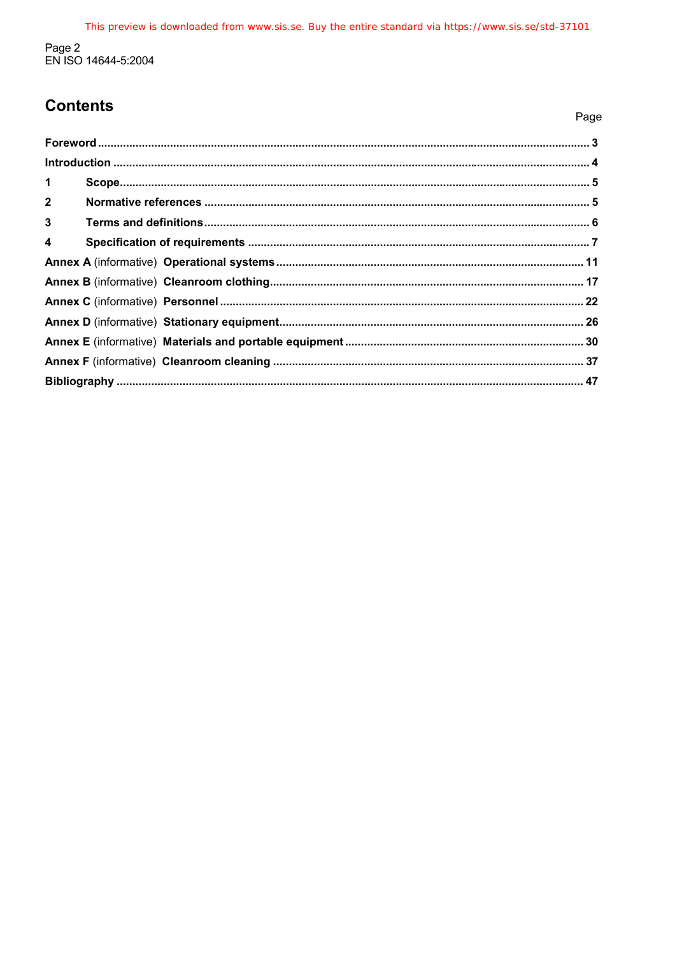# **Contents**

| . .<br>× | ٠<br>۰, |
|----------|---------|
|          |         |

| $\mathbf 1$             |  |
|-------------------------|--|
| $2^{\circ}$             |  |
| $\mathbf{3}$            |  |
| $\overline{\mathbf{4}}$ |  |
|                         |  |
|                         |  |
|                         |  |
|                         |  |
|                         |  |
|                         |  |
|                         |  |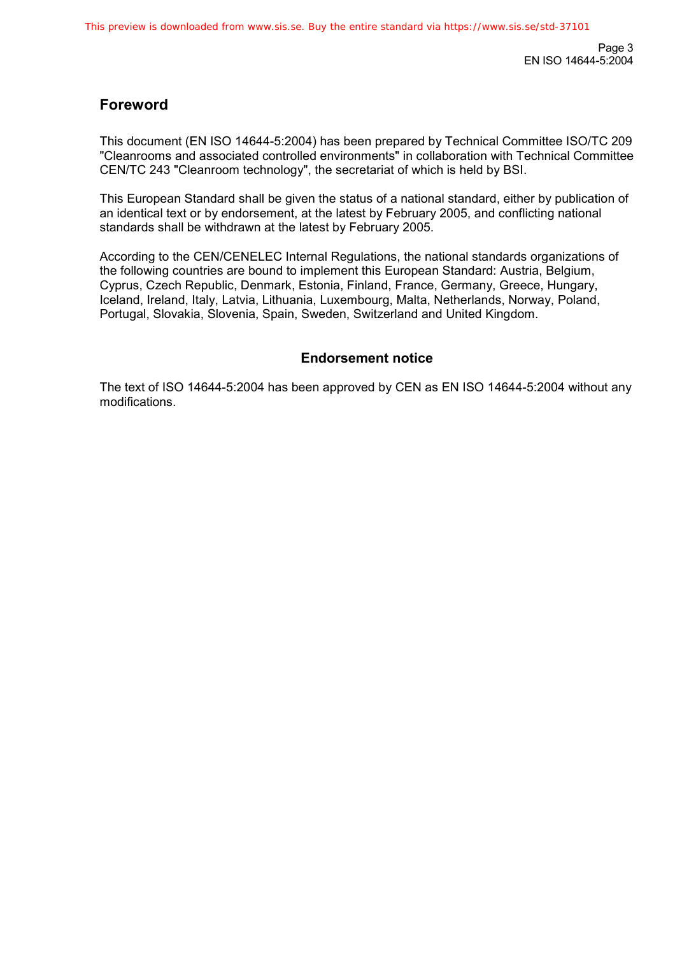Page 3 EN ISO 14644-5:2004

### **Foreword**

This document (EN ISO 14644-5:2004) has been prepared by Technical Committee ISO/TC 209 "Cleanrooms and associated controlled environments" in collaboration with Technical Committee CEN/TC 243 "Cleanroom technology", the secretariat of which is held by BSI.

This European Standard shall be given the status of a national standard, either by publication of an identical text or by endorsement, at the latest by February 2005, and conflicting national standards shall be withdrawn at the latest by February 2005.

According to the CEN/CENELEC Internal Regulations, the national standards organizations of the following countries are bound to implement this European Standard: Austria, Belgium, Cyprus, Czech Republic, Denmark, Estonia, Finland, France, Germany, Greece, Hungary, Iceland, Ireland, Italy, Latvia, Lithuania, Luxembourg, Malta, Netherlands, Norway, Poland, Portugal, Slovakia, Slovenia, Spain, Sweden, Switzerland and United Kingdom.

### **Endorsement notice**

The text of ISO 14644-5:2004 has been approved by CEN as EN ISO 14644-5:2004 without any modifications.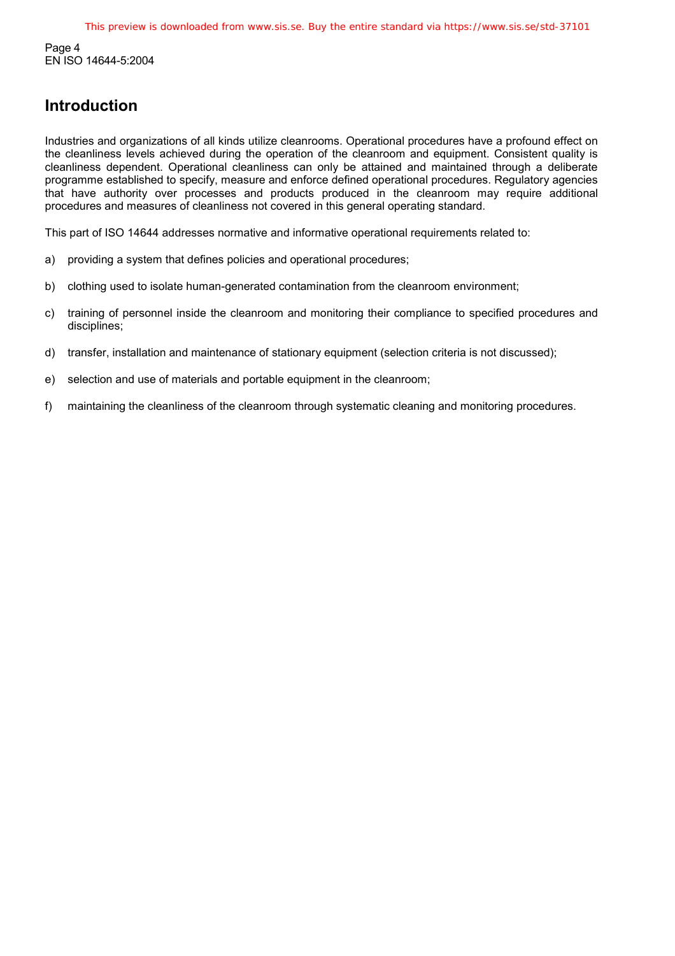Page 4 EN ISO 14644-5:2004

## **Introduction**

Industries and organizations of all kinds utilize cleanrooms. Operational procedures have a profound effect on the cleanliness levels achieved during the operation of the cleanroom and equipment. Consistent quality is cleanliness dependent. Operational cleanliness can only be attained and maintained through a deliberate programme established to specify, measure and enforce defined operational procedures. Regulatory agencies that have authority over processes and products produced in the cleanroom may require additional procedures and measures of cleanliness not covered in this general operating standard.

This part of ISO 14644 addresses normative and informative operational requirements related to:

- a) providing a system that defines policies and operational procedures;
- b) clothing used to isolate human-generated contamination from the cleanroom environment;
- c) training of personnel inside the cleanroom and monitoring their compliance to specified procedures and disciplines;
- d) transfer, installation and maintenance of stationary equipment (selection criteria is not discussed);
- e) selection and use of materials and portable equipment in the cleanroom;
- f) maintaining the cleanliness of the cleanroom through systematic cleaning and monitoring procedures.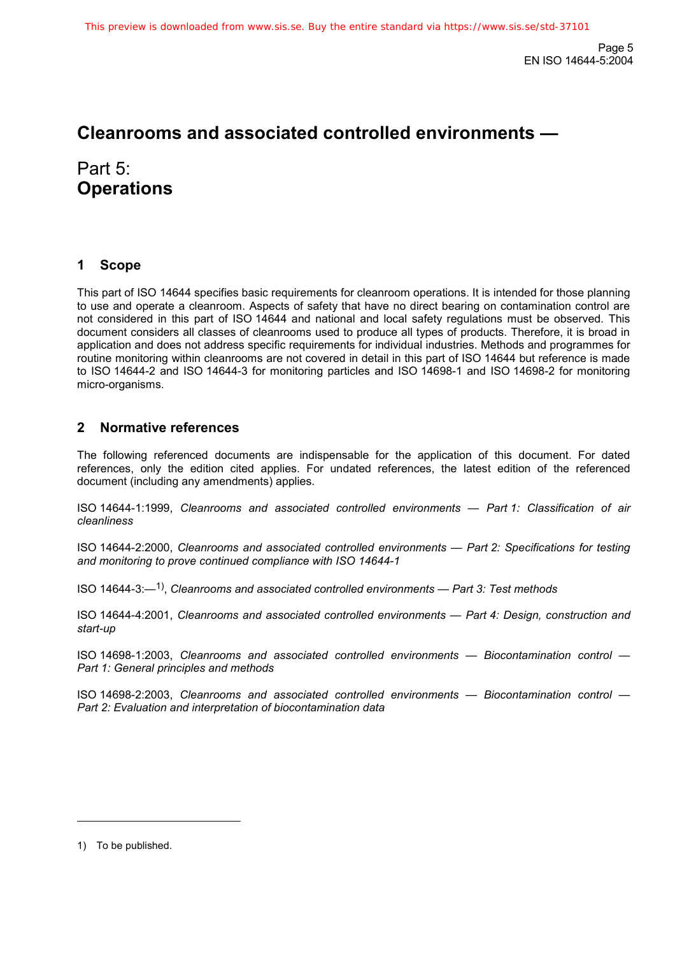# **Cleanrooms and associated controlled environments —**

Part 5: **Operations** 

### **1 Scope**

This part of ISO 14644 specifies basic requirements for cleanroom operations. It is intended for those planning to use and operate a cleanroom. Aspects of safety that have no direct bearing on contamination control are not considered in this part of ISO 14644 and national and local safety regulations must be observed. This document considers all classes of cleanrooms used to produce all types of products. Therefore, it is broad in application and does not address specific requirements for individual industries. Methods and programmes for routine monitoring within cleanrooms are not covered in detail in this part of ISO 14644 but reference is made to ISO 14644-2 and ISO 14644-3 for monitoring particles and ISO 14698-1 and ISO 14698-2 for monitoring micro-organisms.

### **2 Normative references**

The following referenced documents are indispensable for the application of this document. For dated references, only the edition cited applies. For undated references, the latest edition of the referenced document (including any amendments) applies.

ISO 14644-1:1999, *Cleanrooms and associated controlled environments — Part 1: Classification of air cleanliness*

ISO 14644-2:2000, *Cleanrooms and associated controlled environments — Part 2: Specifications for testing and monitoring to prove continued compliance with ISO 14644-1*

ISO 14644-3:—1), *Cleanrooms and associated controlled environments — Part 3: Test methods*

ISO 14644-4:2001, *Cleanrooms and associated controlled environments — Part 4: Design, construction and start-up*

ISO 14698-1:2003, *Cleanrooms and associated controlled environments — Biocontamination control — Part 1: General principles and methods*

ISO 14698-2:2003, *Cleanrooms and associated controlled environments — Biocontamination control — Part 2: Evaluation and interpretation of biocontamination data*

l

<sup>1)</sup> To be published.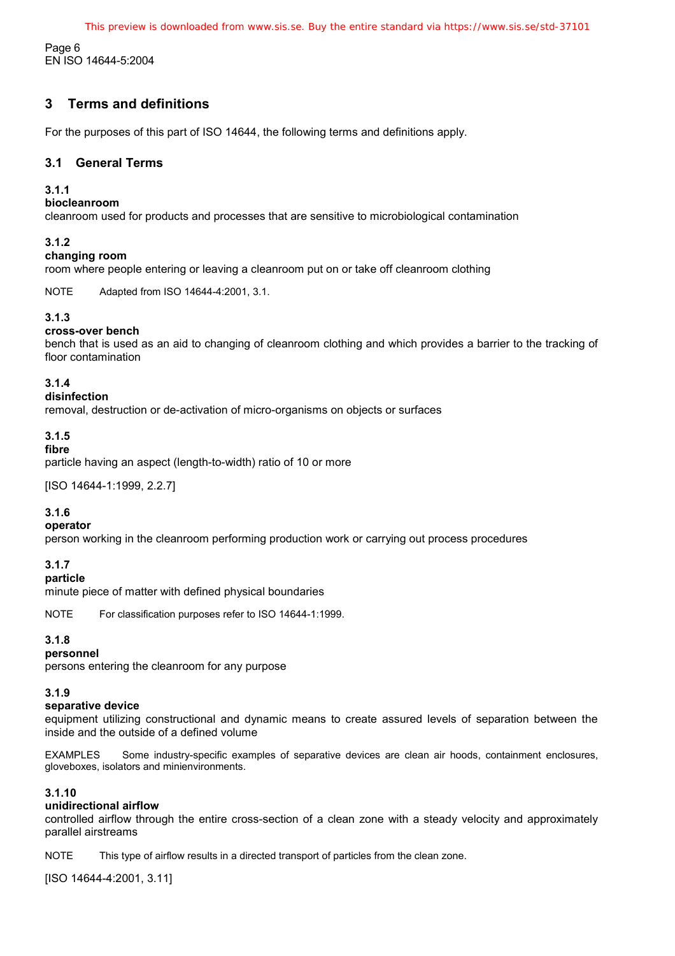This preview is downloaded from www.sis.se. Buy the entire standard via https://www.sis.se/std-37101

Page 6 EN ISO 14644-5:2004

### **3 Terms and definitions**

For the purposes of this part of ISO 14644, the following terms and definitions apply.

#### **3.1 General Terms**

#### **3.1.1**

#### **biocleanroom**

cleanroom used for products and processes that are sensitive to microbiological contamination

#### **3.1.2**

#### **changing room**

room where people entering or leaving a cleanroom put on or take off cleanroom clothing

NOTE Adapted from ISO 14644-4:2001, 3.1.

#### **3.1.3**

#### **cross-over bench**

bench that is used as an aid to changing of cleanroom clothing and which provides a barrier to the tracking of floor contamination

#### **3.1.4**

#### **disinfection**

removal, destruction or de-activation of micro-organisms on objects or surfaces

### **3.1.5**

#### **fibre**

particle having an aspect (length-to-width) ratio of 10 or more

[ISO 14644-1:1999, 2.2.7]

#### **3.1.6**

#### **operator**

person working in the cleanroom performing production work or carrying out process procedures

#### **3.1.7**

#### **particle**

minute piece of matter with defined physical boundaries

NOTE For classification purposes refer to ISO 14644-1:1999.

#### **3.1.8**

#### **personnel**

persons entering the cleanroom for any purpose

#### **3.1.9**

#### **separative device**

equipment utilizing constructional and dynamic means to create assured levels of separation between the inside and the outside of a defined volume

EXAMPLES Some industry-specific examples of separative devices are clean air hoods, containment enclosures, gloveboxes, isolators and minienvironments.

#### **3.1.10**

#### **unidirectional airflow**

controlled airflow through the entire cross-section of a clean zone with a steady velocity and approximately parallel airstreams

NOTE This type of airflow results in a directed transport of particles from the clean zone.

[ISO 14644-4:2001, 3.11]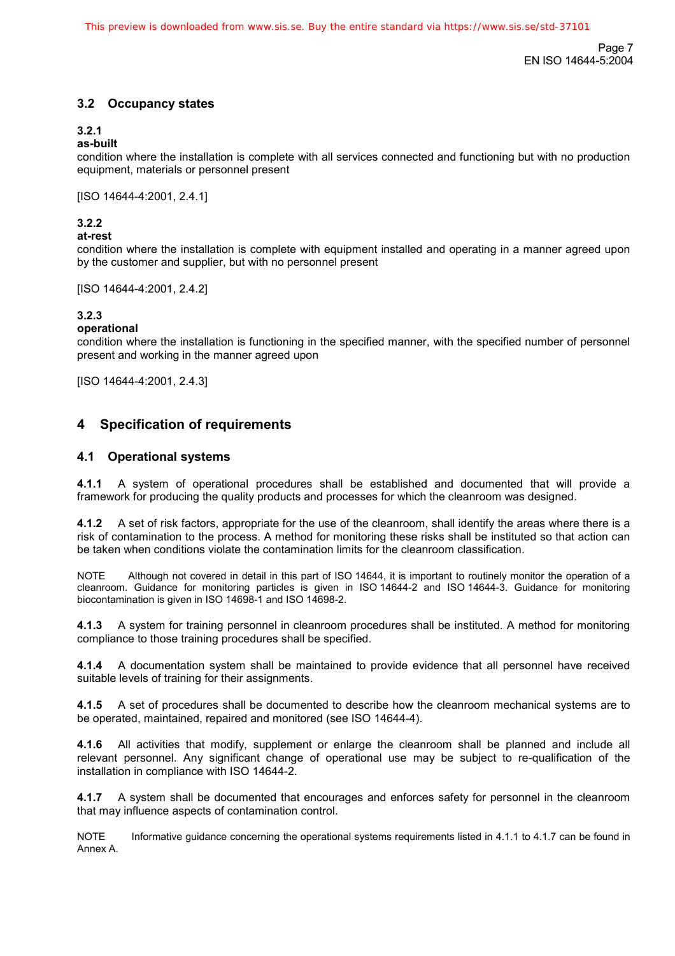Page 7 EN ISO 14644-5:2004

#### **3.2 Occupancy states**

#### **3.2.1**

#### **as-built**

condition where the installation is complete with all services connected and functioning but with no production equipment, materials or personnel present

[ISO 14644-4:2001, 2.4.1]

#### **3.2.2**

#### **at-rest**

condition where the installation is complete with equipment installed and operating in a manner agreed upon by the customer and supplier, but with no personnel present

[ISO 14644-4:2001, 2.4.2]

#### **3.2.3**

#### **operational**

condition where the installation is functioning in the specified manner, with the specified number of personnel present and working in the manner agreed upon

[ISO 14644-4:2001, 2.4.3]

#### **4 Specification of requirements**

#### **4.1 Operational systems**

**4.1.1** A system of operational procedures shall be established and documented that will provide a framework for producing the quality products and processes for which the cleanroom was designed.

**4.1.2** A set of risk factors, appropriate for the use of the cleanroom, shall identify the areas where there is a risk of contamination to the process. A method for monitoring these risks shall be instituted so that action can be taken when conditions violate the contamination limits for the cleanroom classification.

NOTE Although not covered in detail in this part of ISO 14644, it is important to routinely monitor the operation of a cleanroom. Guidance for monitoring particles is given in ISO 14644-2 and ISO 14644-3. Guidance for monitoring biocontamination is given in ISO 14698-1 and ISO 14698-2.

**4.1.3** A system for training personnel in cleanroom procedures shall be instituted. A method for monitoring compliance to those training procedures shall be specified.

**4.1.4** A documentation system shall be maintained to provide evidence that all personnel have received suitable levels of training for their assignments.

**4.1.5** A set of procedures shall be documented to describe how the cleanroom mechanical systems are to be operated, maintained, repaired and monitored (see ISO 14644-4).

**4.1.6** All activities that modify, supplement or enlarge the cleanroom shall be planned and include all relevant personnel. Any significant change of operational use may be subject to re-qualification of the installation in compliance with ISO 14644-2.

**4.1.7** A system shall be documented that encourages and enforces safety for personnel in the cleanroom that may influence aspects of contamination control.

NOTE Informative guidance concerning the operational systems requirements listed in 4.1.1 to 4.1.7 can be found in Annex A.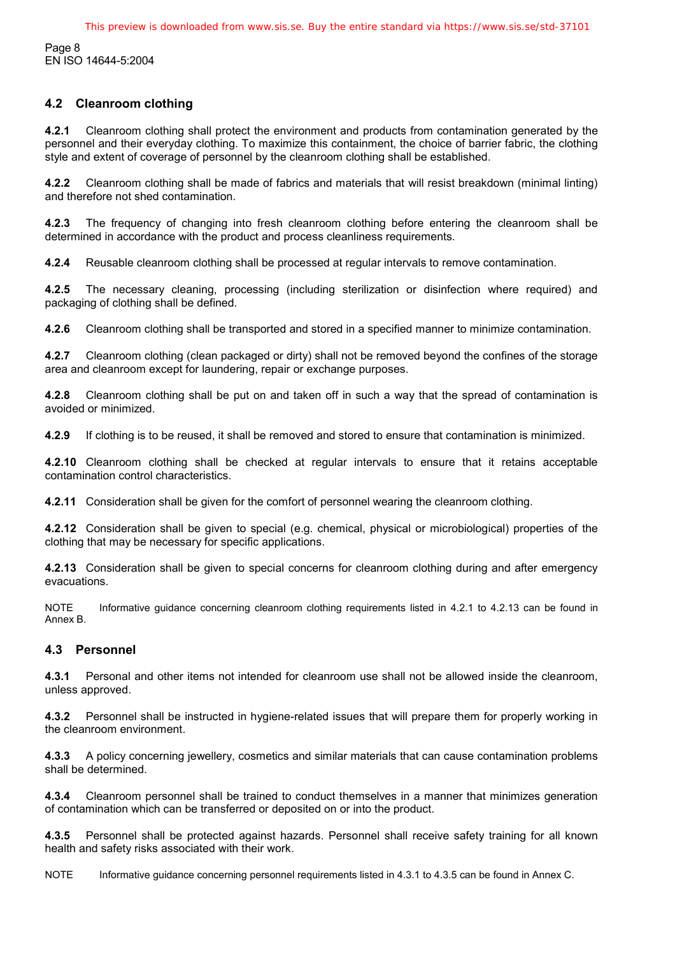Page 8 EN ISO 14644-5:2004

#### **4.2 Cleanroom clothing**

**4.2.1** Cleanroom clothing shall protect the environment and products from contamination generated by the personnel and their everyday clothing. To maximize this containment, the choice of barrier fabric, the clothing style and extent of coverage of personnel by the cleanroom clothing shall be established.

**4.2.2** Cleanroom clothing shall be made of fabrics and materials that will resist breakdown (minimal linting) and therefore not shed contamination.

**4.2.3** The frequency of changing into fresh cleanroom clothing before entering the cleanroom shall be determined in accordance with the product and process cleanliness requirements.

**4.2.4** Reusable cleanroom clothing shall be processed at regular intervals to remove contamination.

**4.2.5** The necessary cleaning, processing (including sterilization or disinfection where required) and packaging of clothing shall be defined.

**4.2.6** Cleanroom clothing shall be transported and stored in a specified manner to minimize contamination.

**4.2.7** Cleanroom clothing (clean packaged or dirty) shall not be removed beyond the confines of the storage area and cleanroom except for laundering, repair or exchange purposes.

**4.2.8** Cleanroom clothing shall be put on and taken off in such a way that the spread of contamination is avoided or minimized.

**4.2.9** If clothing is to be reused, it shall be removed and stored to ensure that contamination is minimized.

**4.2.10** Cleanroom clothing shall be checked at regular intervals to ensure that it retains acceptable contamination control characteristics.

**4.2.11** Consideration shall be given for the comfort of personnel wearing the cleanroom clothing.

**4.2.12** Consideration shall be given to special (e.g. chemical, physical or microbiological) properties of the clothing that may be necessary for specific applications.

**4.2.13** Consideration shall be given to special concerns for cleanroom clothing during and after emergency evacuations.

NOTE Informative quidance concerning cleanroom clothing requirements listed in 4.2.1 to 4.2.13 can be found in Annex B.

#### **4.3 Personnel**

**4.3.1** Personal and other items not intended for cleanroom use shall not be allowed inside the cleanroom, unless approved.

**4.3.2** Personnel shall be instructed in hygiene-related issues that will prepare them for properly working in the cleanroom environment.

**4.3.3** A policy concerning jewellery, cosmetics and similar materials that can cause contamination problems shall be determined.

**4.3.4** Cleanroom personnel shall be trained to conduct themselves in a manner that minimizes generation of contamination which can be transferred or deposited on or into the product.

**4.3.5** Personnel shall be protected against hazards. Personnel shall receive safety training for all known health and safety risks associated with their work.

NOTE Informative guidance concerning personnel requirements listed in 4.3.1 to 4.3.5 can be found in Annex C.